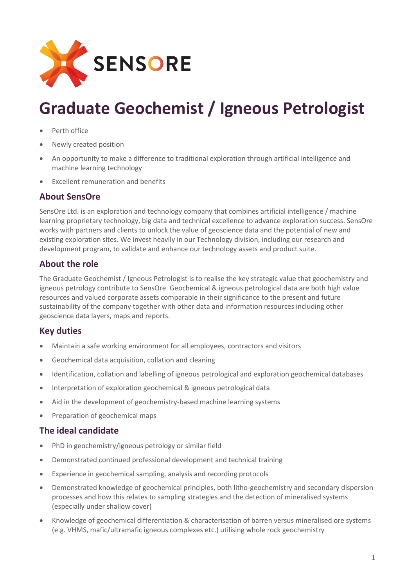

# **Graduate Geochemist / Igneous Petrologist**

- Perth office
- Newly created position
- An opportunity to make a difference to traditional exploration through artificial intelligence and machine learning technology
- Excellent remuneration and benefits

#### **About SensOre**

SensOre Ltd. is an exploration and technology company that combines artificial intelligence / machine learning proprietary technology, big data and technical excellence to advance exploration success. SensOre works with partners and clients to unlock the value of geoscience data and the potential of new and existing exploration sites. We invest heavily in our Technology division, including our research and development program, to validate and enhance our technology assets and product suite.

### **About the role**

The Graduate Geochemist / Igneous Petrologist is to realise the key strategic value that geochemistry and igneous petrology contribute to SensOre. Geochemical & igneous petrological data are both high value resources and valued corporate assets comparable in their significance to the present and future sustainability of the company together with other data and information resources including other geoscience data layers, maps and reports.

# **Key duties**

- Maintain a safe working environment for all employees, contractors and visitors
- Geochemical data acquisition, collation and cleaning
- Identification, collation and labelling of igneous petrological and exploration geochemical databases
- Interpretation of exploration geochemical & igneous petrological data
- Aid in the development of geochemistry-based machine learning systems
- Preparation of geochemical maps

# **The ideal candidate**

- PhD in geochemistry/igneous petrology or similar field
- Demonstrated continued professional development and technical training
- Experience in geochemical sampling, analysis and recording protocols
- Demonstrated knowledge of geochemical principles, both litho-geochemistry and secondary dispersion processes and how this relates to sampling strategies and the detection of mineralised systems (especially under shallow cover)
- Knowledge of geochemical differentiation & characterisation of barren versus mineralised ore systems (e.g. VHMS, mafic/ultramafic igneous complexes etc.) utilising whole rock geochemistry